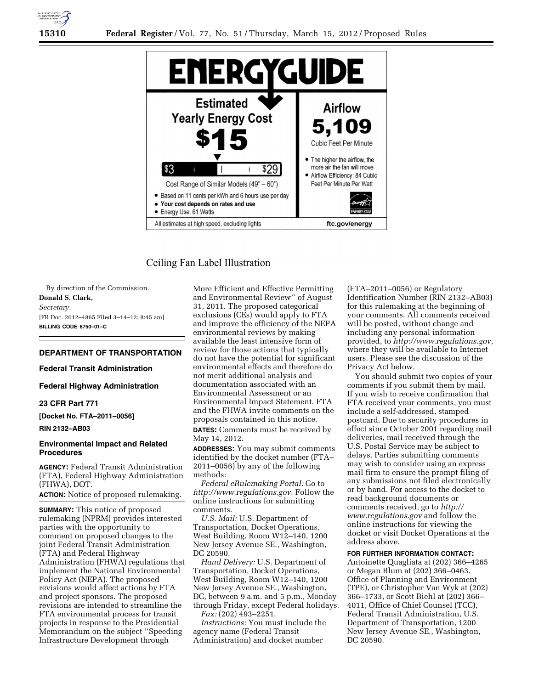

# Ceiling Fan Label Illustration

By direction of the Commission. **Donald S. Clark,**  *Secretary.*  [FR Doc. 2012–4865 Filed 3–14–12; 8:45 am] **BILLING CODE 6750–01–C** 

# **DEPARTMENT OF TRANSPORTATION**

#### **Federal Transit Administration**

**Federal Highway Administration** 

#### **23 CFR Part 771**

**[Docket No. FTA–2011–0056]** 

### **RIN 2132–AB03**

### **Environmental Impact and Related Procedures**

**AGENCY:** Federal Transit Administration (FTA), Federal Highway Administration (FHWA), DOT.

**ACTION:** Notice of proposed rulemaking.

**SUMMARY:** This notice of proposed rulemaking (NPRM) provides interested parties with the opportunity to comment on proposed changes to the joint Federal Transit Administration (FTA) and Federal Highway Administration (FHWA) regulations that implement the National Environmental Policy Act (NEPA). The proposed revisions would affect actions by FTA and project sponsors. The proposed revisions are intended to streamline the FTA environmental process for transit projects in response to the Presidential Memorandum on the subject ''Speeding Infrastructure Development through

More Efficient and Effective Permitting and Environmental Review'' of August 31, 2011. The proposed categorical exclusions (CEs) would apply to FTA and improve the efficiency of the NEPA environmental reviews by making available the least intensive form of review for those actions that typically do not have the potential for significant environmental effects and therefore do not merit additional analysis and documentation associated with an Environmental Assessment or an Environmental Impact Statement. FTA and the FHWA invite comments on the proposals contained in this notice. **DATES:** Comments must be received by

May 14, 2012.

**ADDRESSES:** You may submit comments identified by the docket number (FTA– 2011–0056) by any of the following methods:

*Federal eRulemaking Portal:* Go to *[http://www.regulations.gov.](http://www.regulations.gov)* Follow the online instructions for submitting comments.

*U.S. Mail:* U.S. Department of Transportation, Docket Operations, West Building, Room W12–140, 1200 New Jersey Avenue SE., Washington, DC 20590.

*Hand Delivery:* U.S. Department of Transportation, Docket Operations, West Building, Room W12–140, 1200 New Jersey Avenue SE., Washington, DC, between 9 a.m. and 5 p.m., Monday through Friday, except Federal holidays. *Fax:* (202) 493–2251.

*Instructions:* You must include the agency name (Federal Transit Administration) and docket number

(FTA–2011–0056) or Regulatory Identification Number (RIN 2132–AB03) for this rulemaking at the beginning of your comments. All comments received will be posted, without change and including any personal information provided, to *[http://www.regulations.gov,](http://www.regulations.gov)*  where they will be available to Internet users. Please see the discussion of the Privacy Act below.

You should submit two copies of your comments if you submit them by mail. If you wish to receive confirmation that FTA received your comments, you must include a self-addressed, stamped postcard. Due to security procedures in effect since October 2001 regarding mail deliveries, mail received through the U.S. Postal Service may be subject to delays. Parties submitting comments may wish to consider using an express mail firm to ensure the prompt filing of any submissions not filed electronically or by hand. For access to the docket to read background documents or comments received, go to *[http://](http://www.regulations.gov)  [www.regulations.gov](http://www.regulations.gov)* and follow the online instructions for viewing the docket or visit Docket Operations at the address above.

#### **FOR FURTHER INFORMATION CONTACT:**

Antoinette Quagliata at (202) 366–4265 or Megan Blum at (202) 366–0463, Office of Planning and Environment (TPE), or Christopher Van Wyk at (202) 366–1733, or Scott Biehl at (202) 366– 4011, Office of Chief Counsel (TCC), Federal Transit Administration, U.S. Department of Transportation, 1200 New Jersey Avenue SE., Washington, DC 20590.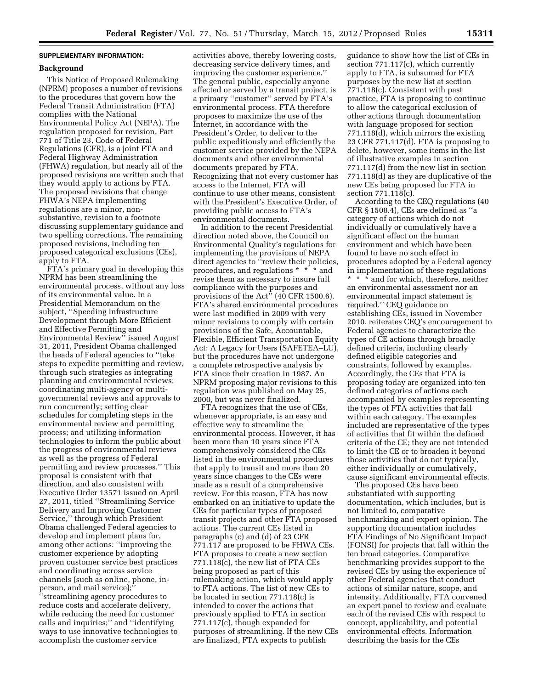### **SUPPLEMENTARY INFORMATION:**

#### **Background**

This Notice of Proposed Rulemaking (NPRM) proposes a number of revisions to the procedures that govern how the Federal Transit Administration (FTA) complies with the National Environmental Policy Act (NEPA). The regulation proposed for revision, Part 771 of Title 23, Code of Federal Regulations (CFR), is a joint FTA and Federal Highway Administration (FHWA) regulation, but nearly all of the proposed revisions are written such that they would apply to actions by FTA. The proposed revisions that change FHWA's NEPA implementing regulations are a minor, nonsubstantive, revision to a footnote discussing supplementary guidance and two spelling corrections. The remaining proposed revisions, including ten proposed categorical exclusions (CEs), apply to FTA.

FTA's primary goal in developing this NPRM has been streamlining the environmental process, without any loss of its environmental value. In a Presidential Memorandum on the subject, ''Speeding Infrastructure Development through More Efficient and Effective Permitting and Environmental Review'' issued August 31, 2011, President Obama challenged the heads of Federal agencies to ''take steps to expedite permitting and review, through such strategies as integrating planning and environmental reviews; coordinating multi-agency or multigovernmental reviews and approvals to run concurrently; setting clear schedules for completing steps in the environmental review and permitting process; and utilizing information technologies to inform the public about the progress of environmental reviews as well as the progress of Federal permitting and review processes.'' This proposal is consistent with that direction, and also consistent with Executive Order 13571 issued on April 27, 2011, titled ''Streamlining Service Delivery and Improving Customer Service,'' through which President Obama challenged Federal agencies to develop and implement plans for, among other actions: ''improving the customer experience by adopting proven customer service best practices and coordinating across service channels (such as online, phone, inperson, and mail service); ''streamlining agency procedures to reduce costs and accelerate delivery, while reducing the need for customer calls and inquiries;'' and ''identifying ways to use innovative technologies to accomplish the customer service

activities above, thereby lowering costs, decreasing service delivery times, and improving the customer experience.'' The general public, especially anyone affected or served by a transit project, is a primary ''customer'' served by FTA's environmental process. FTA therefore proposes to maximize the use of the Internet, in accordance with the President's Order, to deliver to the public expeditiously and efficiently the customer service provided by the NEPA documents and other environmental documents prepared by FTA. Recognizing that not every customer has access to the Internet, FTA will continue to use other means, consistent with the President's Executive Order, of providing public access to FTA's environmental documents.

In addition to the recent Presidential direction noted above, the Council on Environmental Quality's regulations for implementing the provisions of NEPA direct agencies to ''review their policies, procedures, and regulations \* \* \* and revise them as necessary to insure full compliance with the purposes and provisions of the Act'' (40 CFR 1500.6). FTA's shared environmental procedures were last modified in 2009 with very minor revisions to comply with certain provisions of the Safe, Accountable, Flexible, Efficient Transportation Equity Act: A Legacy for Users (SAFETEA–LU), but the procedures have not undergone a complete retrospective analysis by FTA since their creation in 1987. An NPRM proposing major revisions to this regulation was published on May 25, 2000, but was never finalized.

FTA recognizes that the use of CEs, whenever appropriate, is an easy and effective way to streamline the environmental process. However, it has been more than 10 years since FTA comprehensively considered the CEs listed in the environmental procedures that apply to transit and more than 20 years since changes to the CEs were made as a result of a comprehensive review. For this reason, FTA has now embarked on an initiative to update the CEs for particular types of proposed transit projects and other FTA proposed actions. The current CEs listed in paragraphs (c) and (d) of 23 CFR 771.117 are proposed to be FHWA CEs. FTA proposes to create a new section 771.118(c), the new list of FTA CEs being proposed as part of this rulemaking action, which would apply to FTA actions. The list of new CEs to be located in section 771.118(c) is intended to cover the actions that previously applied to FTA in section 771.117(c), though expanded for purposes of streamlining. If the new CEs are finalized, FTA expects to publish

guidance to show how the list of CEs in section 771.117(c), which currently apply to FTA, is subsumed for FTA purposes by the new list at section 771.118(c). Consistent with past practice, FTA is proposing to continue to allow the categorical exclusion of other actions through documentation with language proposed for section 771.118(d), which mirrors the existing 23 CFR 771.117(d). FTA is proposing to delete, however, some items in the list of illustrative examples in section 771.117(d) from the new list in section 771.118(d) as they are duplicative of the new CEs being proposed for FTA in section 771.118(c).

According to the CEQ regulations (40 CFR § 1508.4), CEs are defined as ''a category of actions which do not individually or cumulatively have a significant effect on the human environment and which have been found to have no such effect in procedures adopted by a Federal agency in implementation of these regulations \* \* \* and for which, therefore, neither an environmental assessment nor an environmental impact statement is required.'' CEQ guidance on establishing CEs, issued in November 2010, reiterates CEQ's encouragement to Federal agencies to characterize the types of CE actions through broadly defined criteria, including clearly defined eligible categories and constraints, followed by examples. Accordingly, the CEs that FTA is proposing today are organized into ten defined categories of actions each accompanied by examples representing the types of FTA activities that fall within each category. The examples included are representative of the types of activities that fit within the defined criteria of the CE; they are not intended to limit the CE or to broaden it beyond those activities that do not typically, either individually or cumulatively, cause significant environmental effects.

The proposed CEs have been substantiated with supporting documentation, which includes, but is not limited to, comparative benchmarking and expert opinion. The supporting documentation includes FTA Findings of No Significant Impact (FONSI) for projects that fall within the ten broad categories. Comparative benchmarking provides support to the revised CEs by using the experience of other Federal agencies that conduct actions of similar nature, scope, and intensity. Additionally, FTA convened an expert panel to review and evaluate each of the revised CEs with respect to concept, applicability, and potential environmental effects. Information describing the basis for the CEs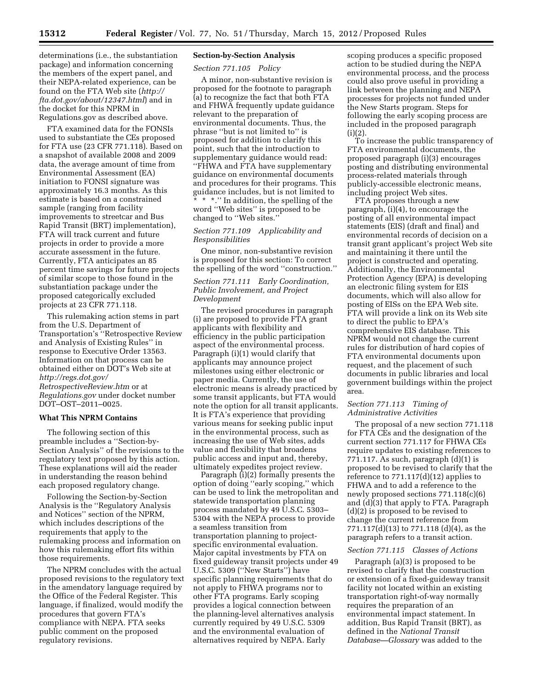determinations (i.e., the substantiation package) and information concerning the members of the expert panel, and their NEPA-related experience, can be found on the FTA Web site (*[http://](http://fta.dot.gov/about/12347.html)  [fta.dot.gov/about/12347.html](http://fta.dot.gov/about/12347.html)*) and in the docket for this NPRM in Regulations.gov as described above.

FTA examined data for the FONSIs used to substantiate the CEs proposed for FTA use (23 CFR 771.118). Based on a snapshot of available 2008 and 2009 data, the average amount of time from Environmental Assessment (EA) initiation to FONSI signature was approximately 16.3 months. As this estimate is based on a constrained sample (ranging from facility improvements to streetcar and Bus Rapid Transit (BRT) implementation), FTA will track current and future projects in order to provide a more accurate assessment in the future. Currently, FTA anticipates an 85 percent time savings for future projects of similar scope to those found in the substantiation package under the proposed categorically excluded projects at 23 CFR 771.118.

This rulemaking action stems in part from the U.S. Department of Transportation's ''Retrospective Review and Analysis of Existing Rules'' in response to Executive Order 13563. Information on that process can be obtained either on DOT's Web site at *[http://regs.dot.gov/](http://regs.dot.gov/RetrospectiveReview.htm) [RetrospectiveReview.htm](http://regs.dot.gov/RetrospectiveReview.htm)* or at *Regulations.gov* under docket number DOT–OST–2011–0025.

### **What This NPRM Contains**

The following section of this preamble includes a ''Section-by-Section Analysis'' of the revisions to the regulatory text proposed by this action. These explanations will aid the reader in understanding the reason behind each proposed regulatory change.

Following the Section-by-Section Analysis is the ''Regulatory Analysis and Notices'' section of the NPRM, which includes descriptions of the requirements that apply to the rulemaking process and information on how this rulemaking effort fits within those requirements.

The NPRM concludes with the actual proposed revisions to the regulatory text in the amendatory language required by the Office of the Federal Register. This language, if finalized, would modify the procedures that govern FTA's compliance with NEPA. FTA seeks public comment on the proposed regulatory revisions.

# **Section-by-Section Analysis**

*Section 771.105 Policy* 

A minor, non-substantive revision is proposed for the footnote to paragraph (a) to recognize the fact that both FTA and FHWA frequently update guidance relevant to the preparation of environmental documents. Thus, the phrase ''but is not limited to'' is proposed for addition to clarify this point, such that the introduction to supplementary guidance would read: ''FHWA and FTA have supplementary guidance on environmental documents and procedures for their programs. This guidance includes, but is not limited to \* \* \*.'' In addition, the spelling of the

word ''Web sites'' is proposed to be changed to ''Web sites.''

### *Section 771.109 Applicability and Responsibilities*

One minor, non-substantive revision is proposed for this section: To correct the spelling of the word ''construction.''

# *Section 771.111 Early Coordination, Public Involvement, and Project Development*

The revised procedures in paragraph (i) are proposed to provide FTA grant applicants with flexibility and efficiency in the public participation aspect of the environmental process. Paragraph (i)(1) would clarify that applicants may announce project milestones using either electronic or paper media. Currently, the use of electronic means is already practiced by some transit applicants, but FTA would note the option for all transit applicants. It is FTA's experience that providing various means for seeking public input in the environmental process, such as increasing the use of Web sites, adds value and flexibility that broadens public access and input and, thereby, ultimately expedites project review.

Paragraph (i)(2) formally presents the option of doing ''early scoping,'' which can be used to link the metropolitan and statewide transportation planning process mandated by 49 U.S.C. 5303– 5304 with the NEPA process to provide a seamless transition from transportation planning to projectspecific environmental evaluation. Major capital investments by FTA on fixed guideway transit projects under 49 U.S.C. 5309 (''New Starts'') have specific planning requirements that do not apply to FHWA programs nor to other FTA programs. Early scoping provides a logical connection between the planning-level alternatives analysis currently required by 49 U.S.C. 5309 and the environmental evaluation of alternatives required by NEPA. Early

scoping produces a specific proposed action to be studied during the NEPA environmental process, and the process could also prove useful in providing a link between the planning and NEPA processes for projects not funded under the New Starts program. Steps for following the early scoping process are included in the proposed paragraph  $(i)(2).$ 

To increase the public transparency of FTA environmental documents, the proposed paragraph (i)(3) encourages posting and distributing environmental process-related materials through publicly-accessible electronic means, including project Web sites.

FTA proposes through a new paragraph, (i)(4), to encourage the posting of all environmental impact statements (EIS) (draft and final) and environmental records of decision on a transit grant applicant's project Web site and maintaining it there until the project is constructed and operating. Additionally, the Environmental Protection Agency (EPA) is developing an electronic filing system for EIS documents, which will also allow for posting of EISs on the EPA Web site. FTA will provide a link on its Web site to direct the public to EPA's comprehensive EIS database. This NPRM would not change the current rules for distribution of hard copies of FTA environmental documents upon request, and the placement of such documents in public libraries and local government buildings within the project area.

# *Section 771.113 Timing of Administrative Activities*

The proposal of a new section 771.118 for FTA CEs and the designation of the current section 771.117 for FHWA CEs require updates to existing references to 771.117. As such, paragraph  $(d)(1)$  is proposed to be revised to clarify that the reference to 771.117(d)(12) applies to FHWA and to add a reference to the newly proposed sections 771.118(c)(6) and (d)(3) that apply to FTA. Paragraph (d)(2) is proposed to be revised to change the current reference from 771.117(d)(13) to 771.118 (d)(4), as the paragraph refers to a transit action.

#### *Section 771.115 Classes of Actions*

Paragraph (a)(3) is proposed to be revised to clarify that the construction or extension of a fixed-guideway transit facility not located within an existing transportation right-of-way normally requires the preparation of an environmental impact statement. In addition, Bus Rapid Transit (BRT), as defined in the *National Transit Database—Glossary* was added to the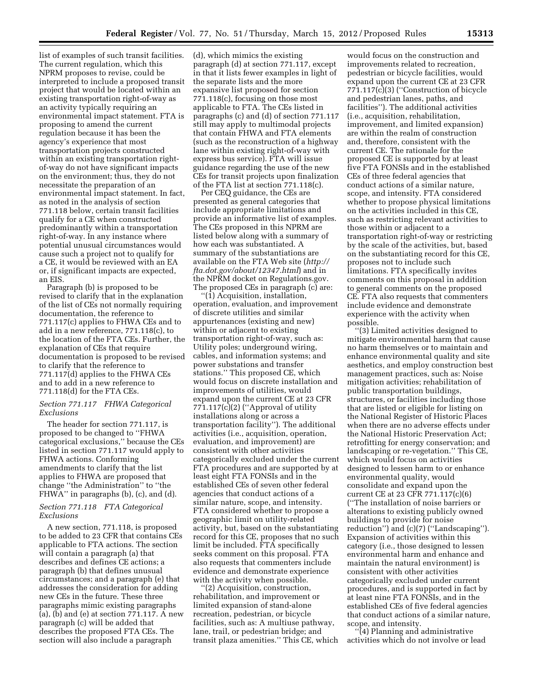list of examples of such transit facilities. The current regulation, which this NPRM proposes to revise, could be interpreted to include a proposed transit project that would be located within an existing transportation right-of-way as an activity typically requiring an environmental impact statement. FTA is proposing to amend the current regulation because it has been the agency's experience that most transportation projects constructed within an existing transportation rightof-way do not have significant impacts on the environment; thus, they do not necessitate the preparation of an environmental impact statement. In fact, as noted in the analysis of section 771.118 below, certain transit facilities qualify for a CE when constructed predominantly within a transportation right-of-way. In any instance where potential unusual circumstances would cause such a project not to qualify for a CE, it would be reviewed with an EA or, if significant impacts are expected, an EIS.

Paragraph (b) is proposed to be revised to clarify that in the explanation of the list of CEs not normally requiring documentation, the reference to 771.117(c) applies to FHWA CEs and to add in a new reference, 771.118(c), to the location of the FTA CEs. Further, the explanation of CEs that require documentation is proposed to be revised to clarify that the reference to 771.117(d) applies to the FHWA CEs and to add in a new reference to 771.118(d) for the FTA CEs.

#### *Section 771.117 FHWA Categorical Exclusions*

The header for section 771.117, is proposed to be changed to ''FHWA categorical exclusions,'' because the CEs listed in section 771.117 would apply to FHWA actions. Conforming amendments to clarify that the list applies to FHWA are proposed that change ''the Administration'' to ''the FHWA'' in paragraphs (b), (c), and (d).

### *Section 771.118 FTA Categorical Exclusions*

A new section, 771.118, is proposed to be added to 23 CFR that contains CEs applicable to FTA actions. The section will contain a paragraph (a) that describes and defines CE actions; a paragraph (b) that defines unusual circumstances; and a paragraph (e) that addresses the consideration for adding new CEs in the future. These three paragraphs mimic existing paragraphs (a), (b) and (e) at section 771.117. A new paragraph (c) will be added that describes the proposed FTA CEs. The section will also include a paragraph

(d), which mimics the existing paragraph (d) at section 771.117, except in that it lists fewer examples in light of the separate lists and the more expansive list proposed for section 771.118(c), focusing on those most applicable to FTA. The CEs listed in paragraphs (c) and (d) of section 771.117 still may apply to multimodal projects that contain FHWA and FTA elements (such as the reconstruction of a highway lane within existing right-of-way with express bus service). FTA will issue guidance regarding the use of the new CEs for transit projects upon finalization of the FTA list at section 771.118(c).

Per CEQ guidance, the CEs are presented as general categories that include appropriate limitations and provide an informative list of examples. The CEs proposed in this NPRM are listed below along with a summary of how each was substantiated. A summary of the substantiations are available on the FTA Web site (*[http://](http://fta.dot.gov/about/12347.html) [fta.dot.gov/about/12347.html](http://fta.dot.gov/about/12347.html)*) and in the NPRM docket on Regulations.gov. The proposed CEs in paragraph (c) are:

''(1) Acquisition, installation, operation, evaluation, and improvement of discrete utilities and similar appurtenances (existing and new) within or adjacent to existing transportation right-of-way, such as: Utility poles; underground wiring, cables, and information systems; and power substations and transfer stations.'' This proposed CE, which would focus on discrete installation and improvements of utilities, would expand upon the current CE at 23 CFR 771.117(c)(2) (''Approval of utility installations along or across a transportation facility''). The additional activities (i.e., acquisition, operation, evaluation, and improvement) are consistent with other activities categorically excluded under the current FTA procedures and are supported by at least eight FTA FONSIs and in the established CEs of seven other federal agencies that conduct actions of a similar nature, scope, and intensity. FTA considered whether to propose a geographic limit on utility-related activity, but, based on the substantiating record for this CE, proposes that no such limit be included. FTA specifically seeks comment on this proposal. FTA also requests that commenters include evidence and demonstrate experience with the activity when possible.

''(2) Acquisition, construction, rehabilitation, and improvement or limited expansion of stand-alone recreation, pedestrian, or bicycle facilities, such as: A multiuse pathway, lane, trail, or pedestrian bridge; and transit plaza amenities.'' This CE, which

would focus on the construction and improvements related to recreation, pedestrian or bicycle facilities, would expand upon the current CE at 23 CFR  $771.117(c)(3)$  ("Construction of bicycle and pedestrian lanes, paths, and facilities''). The additional activities (i.e., acquisition, rehabilitation, improvement, and limited expansion) are within the realm of construction and, therefore, consistent with the current CE. The rationale for the proposed CE is supported by at least five FTA FONSIs and in the established CEs of three federal agencies that conduct actions of a similar nature, scope, and intensity. FTA considered whether to propose physical limitations on the activities included in this CE, such as restricting relevant activities to those within or adjacent to a transportation right-of-way or restricting by the scale of the activities, but, based on the substantiating record for this CE, proposes not to include such limitations. FTA specifically invites comments on this proposal in addition to general comments on the proposed CE. FTA also requests that commenters include evidence and demonstrate experience with the activity when possible.

''(3) Limited activities designed to mitigate environmental harm that cause no harm themselves or to maintain and enhance environmental quality and site aesthetics, and employ construction best management practices, such as: Noise mitigation activities; rehabilitation of public transportation buildings, structures, or facilities including those that are listed or eligible for listing on the National Register of Historic Places when there are no adverse effects under the National Historic Preservation Act; retrofitting for energy conservation; and landscaping or re-vegetation.'' This CE, which would focus on activities designed to lessen harm to or enhance environmental quality, would consolidate and expand upon the current CE at 23 CFR 771.117(c)(6) (''The installation of noise barriers or alterations to existing publicly owned buildings to provide for noise reduction'') and (c)(7) (''Landscaping''). Expansion of activities within this category (i.e., those designed to lessen environmental harm and enhance and maintain the natural environment) is consistent with other activities categorically excluded under current procedures, and is supported in fact by at least nine FTA FONSIs, and in the established CEs of five federal agencies that conduct actions of a similar nature, scope, and intensity.

''(4) Planning and administrative activities which do not involve or lead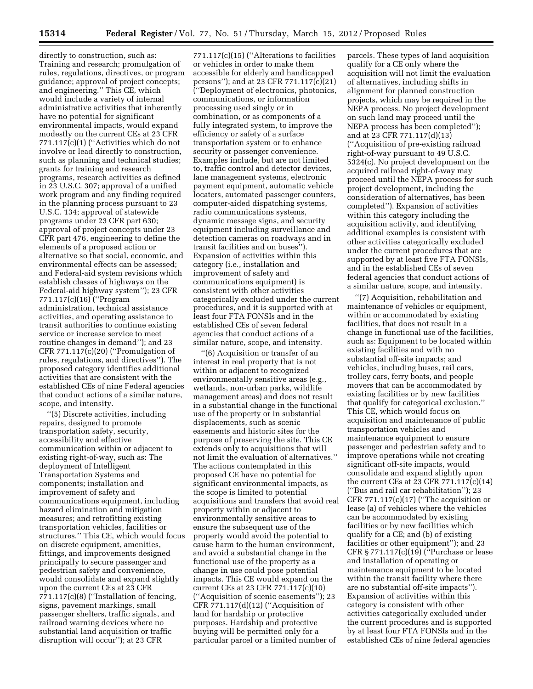directly to construction, such as: Training and research; promulgation of rules, regulations, directives, or program guidance; approval of project concepts; and engineering.'' This CE, which would include a variety of internal administrative activities that inherently have no potential for significant environmental impacts, would expand modestly on the current CEs at 23 CFR 771.117(c)(1) (''Activities which do not involve or lead directly to construction, such as planning and technical studies; grants for training and research programs, research activities as defined in 23 U.S.C. 307; approval of a unified work program and any finding required in the planning process pursuant to 23 U.S.C. 134; approval of statewide programs under 23 CFR part 630; approval of project concepts under 23 CFR part 476, engineering to define the elements of a proposed action or alternative so that social, economic, and environmental effects can be assessed; and Federal-aid system revisions which establish classes of highways on the Federal-aid highway system''); 23 CFR 771.117(c)(16) (''Program administration, technical assistance activities, and operating assistance to transit authorities to continue existing service or increase service to meet routine changes in demand''); and 23 CFR 771.117(c)(20) (''Promulgation of rules, regulations, and directives''). The proposed category identifies additional activities that are consistent with the established CEs of nine Federal agencies that conduct actions of a similar nature, scope, and intensity.

''(5) Discrete activities, including repairs, designed to promote transportation safety, security, accessibility and effective communication within or adjacent to existing right-of-way, such as: The deployment of Intelligent Transportation Systems and components; installation and improvement of safety and communications equipment, including hazard elimination and mitigation measures; and retrofitting existing transportation vehicles, facilities or structures.'' This CE, which would focus on discrete equipment, amenities, fittings, and improvements designed principally to secure passenger and pedestrian safety and convenience, would consolidate and expand slightly upon the current CEs at 23 CFR 771.117(c)(8) (''Installation of fencing, signs, pavement markings, small passenger shelters, traffic signals, and railroad warning devices where no substantial land acquisition or traffic disruption will occur''); at 23 CFR

771.117(c)(15) (''Alterations to facilities or vehicles in order to make them accessible for elderly and handicapped persons''); and at 23 CFR 771.117(c)(21) (''Deployment of electronics, photonics, communications, or information processing used singly or in combination, or as components of a fully integrated system, to improve the efficiency or safety of a surface transportation system or to enhance security or passenger convenience. Examples include, but are not limited to, traffic control and detector devices, lane management systems, electronic payment equipment, automatic vehicle locaters, automated passenger counters, computer-aided dispatching systems, radio communications systems, dynamic message signs, and security equipment including surveillance and detection cameras on roadways and in transit facilities and on buses''). Expansion of activities within this category (i.e., installation and improvement of safety and communications equipment) is consistent with other activities categorically excluded under the current procedures, and it is supported with at least four FTA FONSIs and in the established CEs of seven federal agencies that conduct actions of a similar nature, scope, and intensity.

''(6) Acquisition or transfer of an interest in real property that is not within or adjacent to recognized environmentally sensitive areas (e.g., wetlands, non-urban parks, wildlife management areas) and does not result in a substantial change in the functional use of the property or in substantial displacements, such as scenic easements and historic sites for the purpose of preserving the site. This CE extends only to acquisitions that will not limit the evaluation of alternatives.'' The actions contemplated in this proposed CE have no potential for significant environmental impacts, as the scope is limited to potential acquisitions and transfers that avoid real property within or adjacent to environmentally sensitive areas to ensure the subsequent use of the property would avoid the potential to cause harm to the human environment, and avoid a substantial change in the functional use of the property as a change in use could pose potential impacts. This CE would expand on the current CEs at 23 CFR 771.117(c)(10) (''Acquisition of scenic easements''); 23 CFR 771.117(d)(12) (''Acquisition of land for hardship or protective purposes. Hardship and protective buying will be permitted only for a particular parcel or a limited number of

parcels. These types of land acquisition qualify for a CE only where the acquisition will not limit the evaluation of alternatives, including shifts in alignment for planned construction projects, which may be required in the NEPA process. No project development on such land may proceed until the NEPA process has been completed''); and at 23 CFR 771.117(d)(13) (''Acquisition of pre-existing railroad right-of-way pursuant to 49 U.S.C. 5324(c). No project development on the acquired railroad right-of-way may proceed until the NEPA process for such project development, including the consideration of alternatives, has been completed''). Expansion of activities within this category including the acquisition activity, and identifying additional examples is consistent with other activities categorically excluded under the current procedures that are supported by at least five FTA FONSIs, and in the established CEs of seven federal agencies that conduct actions of a similar nature, scope, and intensity.

''(7) Acquisition, rehabilitation and maintenance of vehicles or equipment, within or accommodated by existing facilities, that does not result in a change in functional use of the facilities, such as: Equipment to be located within existing facilities and with no substantial off-site impacts; and vehicles, including buses, rail cars, trolley cars, ferry boats, and people movers that can be accommodated by existing facilities or by new facilities that qualify for categorical exclusion.'' This CE, which would focus on acquisition and maintenance of public transportation vehicles and maintenance equipment to ensure passenger and pedestrian safety and to improve operations while not creating significant off-site impacts, would consolidate and expand slightly upon the current CEs at 23 CFR 771.117(c)(14) (''Bus and rail car rehabilitation''); 23 CFR 771.117 $(c)(17)$  ("The acquisition or lease (a) of vehicles where the vehicles can be accommodated by existing facilities or by new facilities which qualify for a CE; and (b) of existing facilities or other equipment''); and 23 CFR § 771.117(c)(19) (''Purchase or lease and installation of operating or maintenance equipment to be located within the transit facility where there are no substantial off-site impacts''). Expansion of activities within this category is consistent with other activities categorically excluded under the current procedures and is supported by at least four FTA FONSIs and in the established CEs of nine federal agencies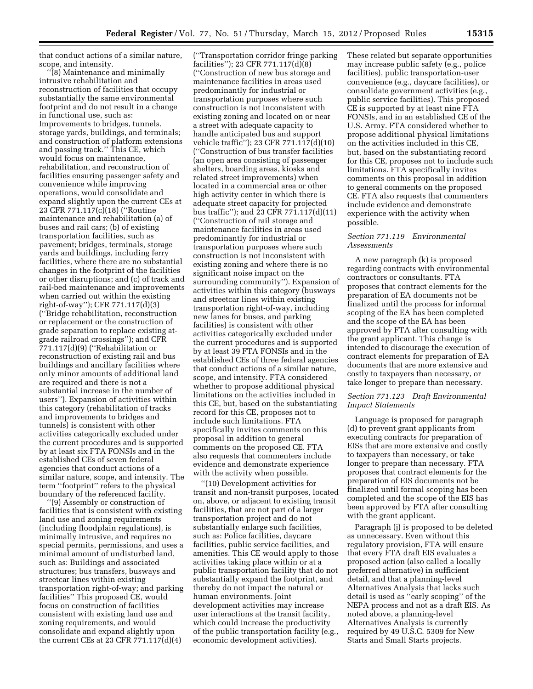that conduct actions of a similar nature, scope, and intensity.

''(8) Maintenance and minimally intrusive rehabilitation and reconstruction of facilities that occupy substantially the same environmental footprint and do not result in a change in functional use, such as: Improvements to bridges, tunnels, storage yards, buildings, and terminals; and construction of platform extensions and passing track.'' This CE, which would focus on maintenance, rehabilitation, and reconstruction of facilities ensuring passenger safety and convenience while improving operations, would consolidate and expand slightly upon the current CEs at 23 CFR 771.117(c)(18) (''Routine maintenance and rehabilitation (a) of buses and rail cars; (b) of existing transportation facilities, such as pavement; bridges, terminals, storage yards and buildings, including ferry facilities, where there are no substantial changes in the footprint of the facilities or other disruptions; and (c) of track and rail-bed maintenance and improvements when carried out within the existing right-of-way''); CFR 771.117(d)(3) (''Bridge rehabilitation, reconstruction or replacement or the construction of grade separation to replace existing atgrade railroad crossings''); and CFR 771.117(d)(9) (''Rehabilitation or reconstruction of existing rail and bus buildings and ancillary facilities where only minor amounts of additional land are required and there is not a substantial increase in the number of users''). Expansion of activities within this category (rehabilitation of tracks and improvements to bridges and tunnels) is consistent with other activities categorically excluded under the current procedures and is supported by at least six FTA FONSIs and in the established CEs of seven federal agencies that conduct actions of a similar nature, scope, and intensity. The term ''footprint'' refers to the physical boundary of the referenced facility.

''(9) Assembly or construction of facilities that is consistent with existing land use and zoning requirements (including floodplain regulations), is minimally intrusive, and requires no special permits, permissions, and uses a minimal amount of undisturbed land, such as: Buildings and associated structures; bus transfers, busways and streetcar lines within existing transportation right-of-way; and parking facilities'' This proposed CE, would focus on construction of facilities consistent with existing land use and zoning requirements, and would consolidate and expand slightly upon the current CEs at 23 CFR 771.117(d)(4)

(''Transportation corridor fringe parking facilities''); 23 CFR 771.117(d)(8) (''Construction of new bus storage and maintenance facilities in areas used predominantly for industrial or transportation purposes where such construction is not inconsistent with existing zoning and located on or near a street with adequate capacity to handle anticipated bus and support vehicle traffic''); 23 CFR 771.117(d)(10) (''Construction of bus transfer facilities (an open area consisting of passenger shelters, boarding areas, kiosks and related street improvements) when located in a commercial area or other high activity center in which there is adequate street capacity for projected bus traffic''); and 23 CFR 771.117(d)(11) (''Construction of rail storage and maintenance facilities in areas used predominantly for industrial or transportation purposes where such construction is not inconsistent with existing zoning and where there is no significant noise impact on the surrounding community''). Expansion of activities within this category (busways and streetcar lines within existing transportation right-of-way, including new lanes for buses, and parking facilities) is consistent with other activities categorically excluded under the current procedures and is supported by at least 39 FTA FONSIs and in the established CEs of three federal agencies that conduct actions of a similar nature, scope, and intensity. FTA considered whether to propose additional physical limitations on the activities included in this CE, but, based on the substantiating record for this CE, proposes not to include such limitations. FTA specifically invites comments on this proposal in addition to general comments on the proposed CE. FTA also requests that commenters include evidence and demonstrate experience with the activity when possible.

''(10) Development activities for transit and non-transit purposes, located on, above, or adjacent to existing transit facilities, that are not part of a larger transportation project and do not substantially enlarge such facilities, such as: Police facilities, daycare facilities, public service facilities, and amenities. This CE would apply to those activities taking place within or at a public transportation facility that do not substantially expand the footprint, and thereby do not impact the natural or human environments. Joint development activities may increase user interactions at the transit facility, which could increase the productivity of the public transportation facility (e.g., economic development activities).

These related but separate opportunities may increase public safety (e.g., police facilities), public transportation-user convenience (e.g., daycare facilities), or consolidate government activities (e.g., public service facilities). This proposed CE is supported by at least nine FTA FONSIs, and in an established CE of the U.S. Army. FTA considered whether to propose additional physical limitations on the activities included in this CE, but, based on the substantiating record for this CE, proposes not to include such limitations. FTA specifically invites comments on this proposal in addition to general comments on the proposed CE. FTA also requests that commenters include evidence and demonstrate experience with the activity when possible.

### *Section 771.119 Environmental Assessments*

A new paragraph (k) is proposed regarding contracts with environmental contractors or consultants. FTA proposes that contract elements for the preparation of EA documents not be finalized until the process for informal scoping of the EA has been completed and the scope of the EA has been approved by FTA after consulting with the grant applicant. This change is intended to discourage the execution of contract elements for preparation of EA documents that are more extensive and costly to taxpayers than necessary, or take longer to prepare than necessary.

### *Section 771.123 Draft Environmental Impact Statements*

Language is proposed for paragraph (d) to prevent grant applicants from executing contracts for preparation of EISs that are more extensive and costly to taxpayers than necessary, or take longer to prepare than necessary. FTA proposes that contract elements for the preparation of EIS documents not be finalized until formal scoping has been completed and the scope of the EIS has been approved by FTA after consulting with the grant applicant.

Paragraph (j) is proposed to be deleted as unnecessary. Even without this regulatory provision, FTA will ensure that every FTA draft EIS evaluates a proposed action (also called a locally preferred alternative) in sufficient detail, and that a planning-level Alternatives Analysis that lacks such detail is used as ''early scoping'' of the NEPA process and not as a draft EIS. As noted above, a planning-level Alternatives Analysis is currently required by 49 U.S.C. 5309 for New Starts and Small Starts projects.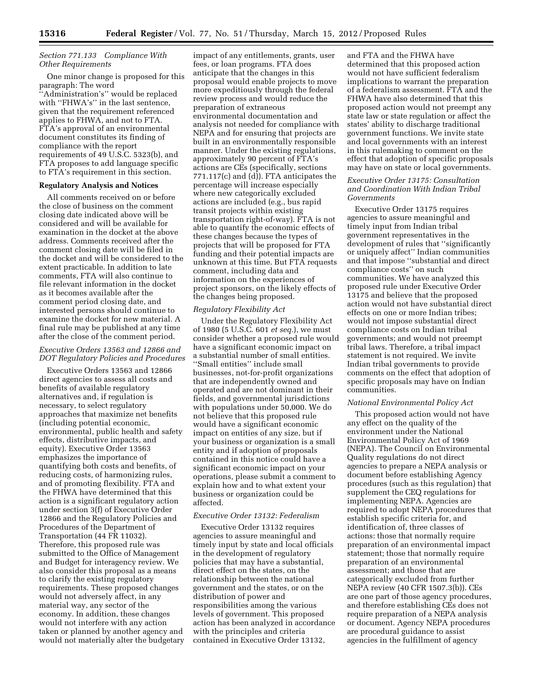### *Section 771.133 Compliance With Other Requirements*

One minor change is proposed for this paragraph: The word ''Administration's'' would be replaced with "FHWA's" in the last sentence, given that the requirement referenced applies to FHWA, and not to FTA. FTA's approval of an environmental document constitutes its finding of compliance with the report requirements of 49 U.S.C. 5323(b), and FTA proposes to add language specific to FTA's requirement in this section.

### **Regulatory Analysis and Notices**

All comments received on or before the close of business on the comment closing date indicated above will be considered and will be available for examination in the docket at the above address. Comments received after the comment closing date will be filed in the docket and will be considered to the extent practicable. In addition to late comments, FTA will also continue to file relevant information in the docket as it becomes available after the comment period closing date, and interested persons should continue to examine the docket for new material. A final rule may be published at any time after the close of the comment period.

### *Executive Orders 13563 and 12866 and DOT Regulatory Policies and Procedures*

Executive Orders 13563 and 12866 direct agencies to assess all costs and benefits of available regulatory alternatives and, if regulation is necessary, to select regulatory approaches that maximize net benefits (including potential economic, environmental, public health and safety effects, distributive impacts, and equity). Executive Order 13563 emphasizes the importance of quantifying both costs and benefits, of reducing costs, of harmonizing rules, and of promoting flexibility. FTA and the FHWA have determined that this action is a significant regulatory action under section 3(f) of Executive Order 12866 and the Regulatory Policies and Procedures of the Department of Transportation (44 FR 11032). Therefore, this proposed rule was submitted to the Office of Management and Budget for interagency review. We also consider this proposal as a means to clarify the existing regulatory requirements. These proposed changes would not adversely affect, in any material way, any sector of the economy. In addition, these changes would not interfere with any action taken or planned by another agency and would not materially alter the budgetary

impact of any entitlements, grants, user fees, or loan programs. FTA does anticipate that the changes in this proposal would enable projects to move more expeditiously through the federal review process and would reduce the preparation of extraneous environmental documentation and analysis not needed for compliance with NEPA and for ensuring that projects are built in an environmentally responsible manner. Under the existing regulations, approximately 90 percent of FTA's actions are CEs (specifically, sections 771.117(c) and (d)). FTA anticipates the percentage will increase especially where new categorically excluded actions are included (e.g., bus rapid transit projects within existing transportation right-of-way). FTA is not able to quantify the economic effects of these changes because the types of projects that will be proposed for FTA funding and their potential impacts are unknown at this time. But FTA requests comment, including data and information on the experiences of project sponsors, on the likely effects of the changes being proposed.

#### *Regulatory Flexibility Act*

Under the Regulatory Flexibility Act of 1980 (5 U.S.C. 601 *et seq.*), we must consider whether a proposed rule would have a significant economic impact on a substantial number of small entities. ''Small entities'' include small businesses, not-for-profit organizations that are independently owned and operated and are not dominant in their fields, and governmental jurisdictions with populations under 50,000. We do not believe that this proposed rule would have a significant economic impact on entities of any size, but if your business or organization is a small entity and if adoption of proposals contained in this notice could have a significant economic impact on your operations, please submit a comment to explain how and to what extent your business or organization could be affected.

### *Executive Order 13132: Federalism*

Executive Order 13132 requires agencies to assure meaningful and timely input by state and local officials in the development of regulatory policies that may have a substantial, direct effect on the states, on the relationship between the national government and the states, or on the distribution of power and responsibilities among the various levels of government. This proposed action has been analyzed in accordance with the principles and criteria contained in Executive Order 13132,

and FTA and the FHWA have determined that this proposed action would not have sufficient federalism implications to warrant the preparation of a federalism assessment. FTA and the FHWA have also determined that this proposed action would not preempt any state law or state regulation or affect the states' ability to discharge traditional government functions. We invite state and local governments with an interest in this rulemaking to comment on the effect that adoption of specific proposals may have on state or local governments.

### *Executive Order 13175: Consultation and Coordination With Indian Tribal Governments*

Executive Order 13175 requires agencies to assure meaningful and timely input from Indian tribal government representatives in the development of rules that ''significantly or uniquely affect'' Indian communities and that impose ''substantial and direct compliance costs'' on such communities. We have analyzed this proposed rule under Executive Order 13175 and believe that the proposed action would not have substantial direct effects on one or more Indian tribes; would not impose substantial direct compliance costs on Indian tribal governments; and would not preempt tribal laws. Therefore, a tribal impact statement is not required. We invite Indian tribal governments to provide comments on the effect that adoption of specific proposals may have on Indian communities.

#### *National Environmental Policy Act*

This proposed action would not have any effect on the quality of the environment under the National Environmental Policy Act of 1969 (NEPA). The Council on Environmental Quality regulations do not direct agencies to prepare a NEPA analysis or document before establishing Agency procedures (such as this regulation) that supplement the CEQ regulations for implementing NEPA. Agencies are required to adopt NEPA procedures that establish specific criteria for, and identification of, three classes of actions: those that normally require preparation of an environmental impact statement; those that normally require preparation of an environmental assessment; and those that are categorically excluded from further NEPA review (40 CFR 1507.3(b)). CEs are one part of those agency procedures, and therefore establishing CEs does not require preparation of a NEPA analysis or document. Agency NEPA procedures are procedural guidance to assist agencies in the fulfillment of agency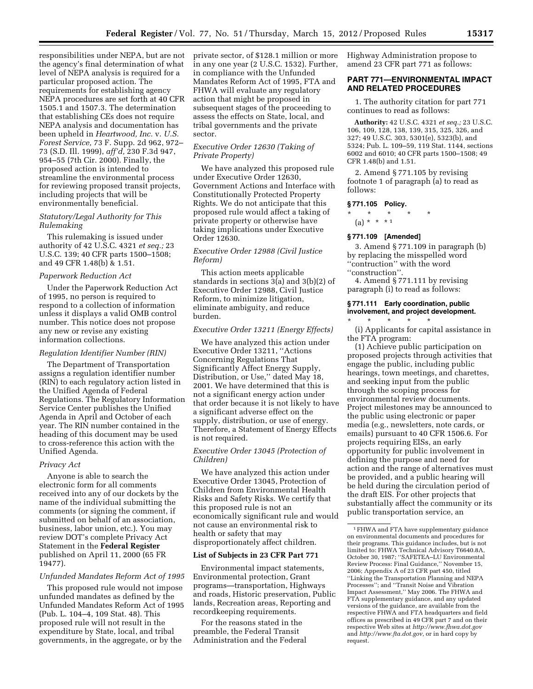responsibilities under NEPA, but are not the agency's final determination of what level of NEPA analysis is required for a particular proposed action. The requirements for establishing agency NEPA procedures are set forth at 40 CFR 1505.1 and 1507.3. The determination that establishing CEs does not require NEPA analysis and documentation has been upheld in *Heartwood, Inc.* v. *U.S. Forest Service,* 73 F. Supp. 2d 962, 972– 73 (S.D. Ill. 1999), *aff'd,* 230 F.3d 947, 954–55 (7th Cir. 2000). Finally, the proposed action is intended to streamline the environmental process for reviewing proposed transit projects, including projects that will be environmentally beneficial.

### *Statutory/Legal Authority for This Rulemaking*

This rulemaking is issued under authority of 42 U.S.C. 4321 *et seq.;* 23 U.S.C. 139; 40 CFR parts 1500–1508; and 49 CFR 1.48(b) & 1.51.

### *Paperwork Reduction Act*

Under the Paperwork Reduction Act of 1995, no person is required to respond to a collection of information unless it displays a valid OMB control number. This notice does not propose any new or revise any existing information collections.

#### *Regulation Identifier Number (RIN)*

The Department of Transportation assigns a regulation identifier number (RIN) to each regulatory action listed in the Unified Agenda of Federal Regulations. The Regulatory Information Service Center publishes the Unified Agenda in April and October of each year. The RIN number contained in the heading of this document may be used to cross-reference this action with the Unified Agenda.

#### *Privacy Act*

Anyone is able to search the electronic form for all comments received into any of our dockets by the name of the individual submitting the comments (or signing the comment, if submitted on behalf of an association, business, labor union, etc.). You may review DOT's complete Privacy Act Statement in the **Federal Register**  published on April 11, 2000 (65 FR 19477).

#### *Unfunded Mandates Reform Act of 1995*

This proposed rule would not impose unfunded mandates as defined by the Unfunded Mandates Reform Act of 1995 (Pub. L. 104–4, 109 Stat. 48). This proposed rule will not result in the expenditure by State, local, and tribal governments, in the aggregate, or by the

private sector, of \$128.1 million or more in any one year (2 U.S.C. 1532). Further, in compliance with the Unfunded Mandates Reform Act of 1995, FTA and FHWA will evaluate any regulatory action that might be proposed in subsequent stages of the proceeding to assess the effects on State, local, and tribal governments and the private sector.

## *Executive Order 12630 (Taking of Private Property)*

We have analyzed this proposed rule under Executive Order 12630, Government Actions and Interface with Constitutionally Protected Property Rights. We do not anticipate that this proposed rule would affect a taking of private property or otherwise have taking implications under Executive Order 12630.

# *Executive Order 12988 (Civil Justice Reform)*

This action meets applicable standards in sections 3(a) and 3(b)(2) of Executive Order 12988, Civil Justice Reform, to minimize litigation, eliminate ambiguity, and reduce burden.

### *Executive Order 13211 (Energy Effects)*

We have analyzed this action under Executive Order 13211, ''Actions Concerning Regulations That Significantly Affect Energy Supply, Distribution, or Use,'' dated May 18, 2001. We have determined that this is not a significant energy action under that order because it is not likely to have a significant adverse effect on the supply, distribution, or use of energy. Therefore, a Statement of Energy Effects is not required.

### *Executive Order 13045 (Protection of Children)*

We have analyzed this action under Executive Order 13045, Protection of Children from Environmental Health Risks and Safety Risks. We certify that this proposed rule is not an economically significant rule and would not cause an environmental risk to health or safety that may disproportionately affect children.

### **List of Subjects in 23 CFR Part 771**

Environmental impact statements, Environmental protection, Grant programs—transportation, Highways and roads, Historic preservation, Public lands, Recreation areas, Reporting and recordkeeping requirements.

For the reasons stated in the preamble, the Federal Transit Administration and the Federal Highway Administration propose to amend 23 CFR part 771 as follows:

# **PART 771—ENVIRONMENTAL IMPACT AND RELATED PROCEDURES**

1. The authority citation for part 771 continues to read as follows:

**Authority:** 42 U.S.C. 4321 *et seq.;* 23 U.S.C. 106, 109, 128, 138, 139, 315, 325, 326, and 327; 49 U.S.C. 303, 5301(e), 5323(b), and 5324; Pub. L. 109–59, 119 Stat. 1144, sections 6002 and 6010; 40 CFR parts 1500–1508; 49 CFR 1.48(b) and 1.51.

2. Amend § 771.105 by revising footnote 1 of paragraph (a) to read as follows:

# **§ 771.105 Policy.**

\* \* \* \* \*

 $(a) * * * * 1$ 

### **§ 771.109 [Amended]**

3. Amend § 771.109 in paragraph (b) by replacing the misspelled word ''contruction'' with the word ''construction''.

4. Amend § 771.111 by revising paragraph (i) to read as follows:

### **§ 771.111 Early coordination, public involvement, and project development.**

\* \* \* \* \* (i) Applicants for capital assistance in the FTA program:

(1) Achieve public participation on proposed projects through activities that engage the public, including public hearings, town meetings, and charettes, and seeking input from the public through the scoping process for environmental review documents. Project milestones may be announced to the public using electronic or paper media (e.g., newsletters, note cards, or emails) pursuant to 40 CFR 1506.6. For projects requiring EISs, an early opportunity for public involvement in defining the purpose and need for action and the range of alternatives must be provided, and a public hearing will be held during the circulation period of the draft EIS. For other projects that substantially affect the community or its public transportation service, an

<sup>1</sup>FHWA and FTA have supplementary guidance on environmental documents and procedures for their programs. This guidance includes, but is not limited to: FHWA Technical Advisory T6640.8A, October 30, 1987; ''SAFETEA–LU Environmental Review Process: Final Guidance,'' November 15, 2006; Appendix A of 23 CFR part 450, titled ''Linking the Transportation Planning and NEPA Processes''; and ''Transit Noise and Vibration Impact Assessment,'' May 2006. The FHWA and FTA supplementary guidance, and any updated versions of the guidance, are available from the respective FHWA and FTA headquarters and field offices as prescribed in 49 CFR part 7 and on their respective Web sites at *<http://www.fhwa.dot.gov>* and *[http://www.fta.dot.gov,](http://www.fta.dot.gov)* or in hard copy by request.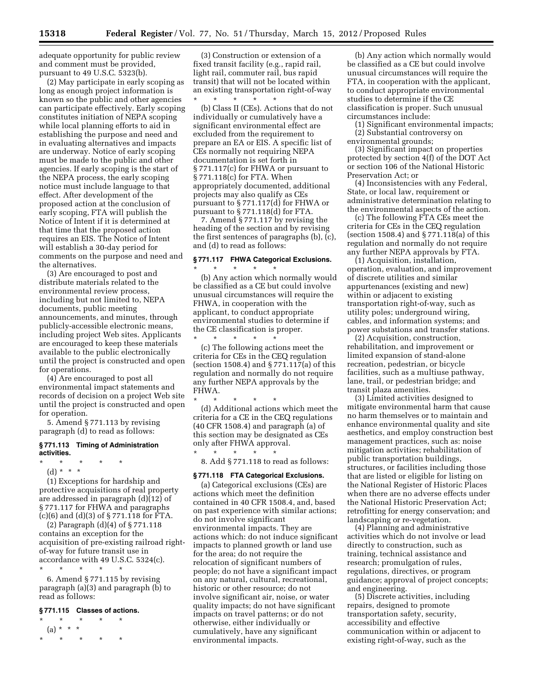adequate opportunity for public review and comment must be provided, pursuant to 49 U.S.C. 5323(b).

(2) May participate in early scoping as long as enough project information is known so the public and other agencies can participate effectively. Early scoping constitutes initiation of NEPA scoping while local planning efforts to aid in establishing the purpose and need and in evaluating alternatives and impacts are underway. Notice of early scoping must be made to the public and other agencies. If early scoping is the start of the NEPA process, the early scoping notice must include language to that effect. After development of the proposed action at the conclusion of early scoping, FTA will publish the Notice of Intent if it is determined at that time that the proposed action requires an EIS. The Notice of Intent will establish a 30-day period for comments on the purpose and need and the alternatives.

(3) Are encouraged to post and distribute materials related to the environmental review process, including but not limited to, NEPA documents, public meeting announcements, and minutes, through publicly-accessible electronic means, including project Web sites. Applicants are encouraged to keep these materials available to the public electronically until the project is constructed and open for operations.

(4) Are encouraged to post all environmental impact statements and records of decision on a project Web site until the project is constructed and open for operation.

5. Amend § 771.113 by revising paragraph (d) to read as follows:

#### **§ 771.113 Timing of Administration activities.**

- \* \* \* \* \*
	- (d) \* \* \*

(1) Exceptions for hardship and protective acquisitions of real property are addressed in paragraph (d)(12) of § 771.117 for FHWA and paragraphs (c)(6) and (d)(3) of § 771.118 for FTA.

(2) Paragraph (d)(4) of § 771.118 contains an exception for the acquisition of pre-existing railroad rightof-way for future transit use in accordance with 49 U.S.C. 5324(c).

\* \* \* \* \* 6. Amend § 771.115 by revising

paragraph (a)(3) and paragraph (b) to read as follows:

# **§ 771.115 Classes of actions.**

\* \* \* \* \* (a) \* \* \* \* \* \* \* \*

(3) Construction or extension of a fixed transit facility (e.g., rapid rail, light rail, commuter rail, bus rapid transit) that will not be located within an existing transportation right-of-way<br>\* \* \* \* \* \* \* \* \* \* \* \* \*

(b) Class II (CEs). Actions that do not individually or cumulatively have a significant environmental effect are excluded from the requirement to prepare an EA or EIS. A specific list of CEs normally not requiring NEPA documentation is set forth in § 771.117(c) for FHWA or pursuant to § 771.118(c) for FTA. When appropriately documented, additional projects may also qualify as CEs pursuant to § 771.117(d) for FHWA or pursuant to § 771.118(d) for FTA.

7. Amend § 771.117 by revising the heading of the section and by revising the first sentences of paragraphs (b), (c), and (d) to read as follows:

#### **§ 771.117 FHWA Categorical Exclusions.**  \* \* \* \* \*

(b) Any action which normally would be classified as a CE but could involve unusual circumstances will require the FHWA, in cooperation with the applicant, to conduct appropriate environmental studies to determine if the CE classification is proper. \* \* \* \* \*

(c) The following actions meet the criteria for CEs in the CEQ regulation (section 1508.4) and § 771.117(a) of this regulation and normally do not require any further NEPA approvals by the FHWA.

\* \* \* \* \* (d) Additional actions which meet the criteria for a CE in the CEQ regulations (40 CFR 1508.4) and paragraph (a) of this section may be designated as CEs only after FHWA approval. \* \* \* \* \*

8. Add § 771.118 to read as follows:

## **§ 771.118 FTA Categorical Exclusions.**

(a) Categorical exclusions (CEs) are actions which meet the definition contained in 40 CFR 1508.4, and, based on past experience with similar actions; do not involve significant environmental impacts. They are actions which: do not induce significant impacts to planned growth or land use for the area; do not require the relocation of significant numbers of people; do not have a significant impact on any natural, cultural, recreational, historic or other resource; do not involve significant air, noise, or water quality impacts; do not have significant impacts on travel patterns; or do not otherwise, either individually or cumulatively, have any significant environmental impacts.

(b) Any action which normally would be classified as a CE but could involve unusual circumstances will require the FTA, in cooperation with the applicant, to conduct appropriate environmental studies to determine if the CE classification is proper. Such unusual circumstances include:

(1) Significant environmental impacts; (2) Substantial controversy on

environmental grounds; (3) Significant impact on properties protected by section 4(f) of the DOT Act or section 106 of the National Historic

Preservation Act; or (4) Inconsistencies with any Federal,

State, or local law, requirement or administrative determination relating to the environmental aspects of the action.

(c) The following FTA CEs meet the criteria for CEs in the CEQ regulation (section 1508.4) and § 771.118(a) of this regulation and normally do not require any further NEPA approvals by FTA.

(1) Acquisition, installation, operation, evaluation, and improvement of discrete utilities and similar appurtenances (existing and new) within or adjacent to existing transportation right-of-way, such as utility poles; underground wiring, cables, and information systems; and power substations and transfer stations.

(2) Acquisition, construction, rehabilitation, and improvement or limited expansion of stand-alone recreation, pedestrian, or bicycle facilities, such as a multiuse pathway, lane, trail, or pedestrian bridge; and transit plaza amenities.

(3) Limited activities designed to mitigate environmental harm that cause no harm themselves or to maintain and enhance environmental quality and site aesthetics, and employ construction best management practices, such as: noise mitigation activities; rehabilitation of public transportation buildings, structures, or facilities including those that are listed or eligible for listing on the National Register of Historic Places when there are no adverse effects under the National Historic Preservation Act; retrofitting for energy conservation; and landscaping or re-vegetation.

(4) Planning and administrative activities which do not involve or lead directly to construction, such as training, technical assistance and research; promulgation of rules, regulations, directives, or program guidance; approval of project concepts; and engineering.

(5) Discrete activities, including repairs, designed to promote transportation safety, security, accessibility and effective communication within or adjacent to existing right-of-way, such as the